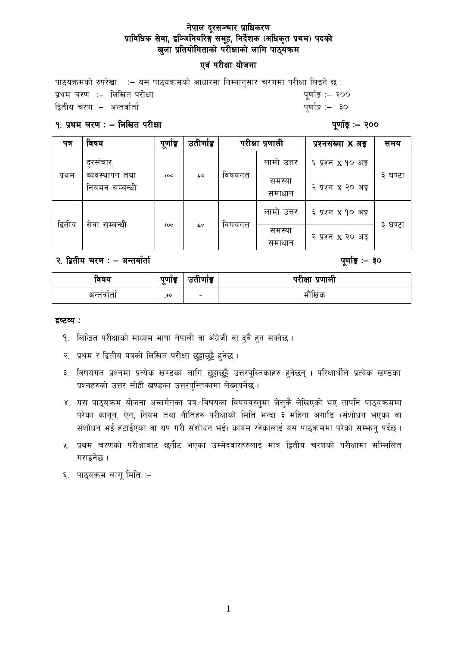#### नेपाल दूरसञ्चार प्राधिकरण प्राविधिक सेवा, इञ्जिनियरिङ्ग समूह, निर्देशक (अधिकृत प्रथम) पदको खुला प्रतियोगिताको परीक्षाको लागि पाठ्यक्रम

#### एवं परीक्षा योजना

पाठयक्रमको रुपरेखा  $\,$ : – यस पाठयक्रमको आधारमा निम्नानसार चरणमा परीक्षा लिइने छ $\,$ : k|yd r/0f M— lnlvt k/LIff k"0ff{Í M— @))  $\hat{a}$ तीय चरण $\hat{a}$  = अन्तर्वार्ता

#### $9.$  प्रथम चरण : – लिखित परीक्षा  $\blacksquare$

| पत्र    | विषय                             | पूर्णाङ्क | उतीर्णाङ्क |        | परीक्षा प्रणाली  | प्रश्नसंख्या <b>X</b> अड्ड     | समय        |
|---------|----------------------------------|-----------|------------|--------|------------------|--------------------------------|------------|
| प्रथम   | दूरसंचार,                        | 100       | 40         | विषयगत | लामो उत्तर       | ६ प्रश्न x १० अङ्ग             | 3<br>घण्टा |
|         | ब्यवस्थापन तथा<br>नियमन सम्बन्धी |           |            |        | समस्या<br>समाधान | २ प्रश्न x २० अङ्ग             |            |
| द्वितीय | सेवा सम्बन्धी                    | 100       | 40         | विषयगत | लामो उत्तर       | ६ प्रश्न x १० अङ् <del>र</del> | з<br>घण्टा |
|         |                                  |           |            |        | समस्या<br>समाधान | २ प्रश्न x २० अङ्ग             |            |

२. द्वितीय चरण : – अन्तर्वार्ता

| ावषय     | पुणाङ्क |                          | परीक्षा  |
|----------|---------|--------------------------|----------|
|          | $\sim$  | उतीर्णाइ                 | ्प्रणाला |
| अन्तवाता | 30      | $\overline{\phantom{0}}$ | मौखिक    |

#### द्रष्टव्य :

- 9. लिखित परीक्षाको माध्यम भाषा नेपाली वा अंग्रेजी वा दुवै हुन सक्नेछ ।
- २. प्रथम र द्वितीय पत्रको लिखित परीक्षा छुट्टाछुट्टै हुनेछ ।
- ३. विषयगत प्रश्नमा प्रत्येक खण्डका लागि छट्टाछट्टै उत्तरपुस्तिकाहरु हुनेछन् । परिक्षार्थीले प्रत्येक खण्डका प्रश्नहरुको उत्तर सोही खण्डका उत्तरपुस्तिकामा लेख्नुपर्नेछ ।
- ४. यस पाठ्यक्रम योजना अन्तर्गतका पत्र /विषयका विषयवस्तुमा जेसुकै लेखिएको भए तापनि पाठ्यक्रममा परेका कानून, ऐन, नियम तथा नीतिहरु परीक्षाको मिति भन्दा ३ महिना अगाडि (संशोधन भएका वा संशोधन भई हटाईएका वा थप गरी संशोधन भई) कायम रहेकालाई यस पाठ्कममा परेको सम्भन्नु पर्दछ ।
- <u>५. प्रथम चरणको परीक्षाबाट छनौट भएका उम्मेदवारहरुलाई मात्र द्वितीय चरणको परीक्षामा सम्मिलित</u> गराइनेछ ।
- ६. पाठ्यक्रम लागु मिति $:=$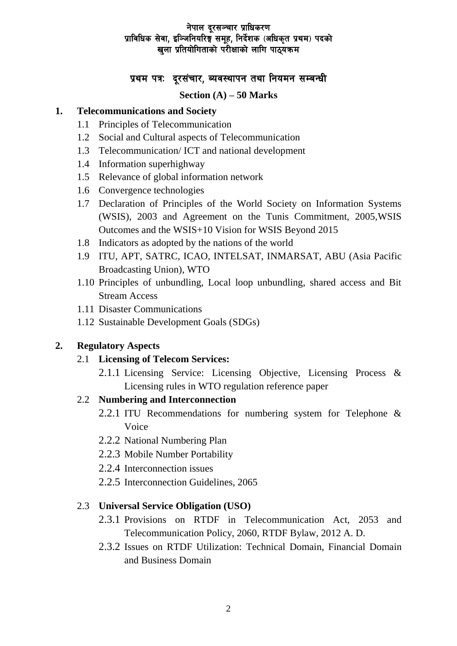#### नेपाल दूरसञ्चार प्राधिकरण प्राविधिक सेवा. इञ्जिनियरिङ्गं समह. निर्देशक (अधिकत प्रथम) पदको खला प्रतियोगिताको परीक्षाको लागि पाठ्यकम

# प्रथम पत्रः दूरसंचार, ब्यवस्थापन तथा नियमन सम्बन्धी

#### **Section (A) – 50 Marks**

### **1. Telecommunications and Society**

- 1.1 Principles of Telecommunication
- 1.2 Social and Cultural aspects of Telecommunication
- 1.3 Telecommunication/ ICT and national development
- 1.4 Information superhighway
- 1.5 Relevance of global information network
- 1.6 Convergence technologies
- 1.7 Declaration of Principles of the World Society on Information Systems (WSIS), 2003 and Agreement on the Tunis Commitment, 2005,WSIS Outcomes and the WSIS+10 Vision for WSIS Beyond 2015
- 1.8 Indicators as adopted by the nations of the world
- 1.9 ITU, APT, SATRC, ICAO, INTELSAT, INMARSAT, ABU (Asia Pacific Broadcasting Union), WTO
- 1.10 Principles of unbundling, Local loop unbundling, shared access and Bit Stream Access
- 1.11 Disaster Communications
- 1.12 Sustainable Development Goals (SDGs)

# **2. Regulatory Aspects**

- 2.1 **Licensing of Telecom Services:**
	- 2.1.1 Licensing Service: Licensing Objective, Licensing Process & Licensing rules in WTO regulation reference paper

# 2.2 **Numbering and Interconnection**

- 2.2.1 ITU Recommendations for numbering system for Telephone & Voice
- 2.2.2 National Numbering Plan
- 2.2.3 Mobile Number Portability
- 2.2.4 Interconnection issues
- 2.2.5 Interconnection Guidelines, 2065

# 2.3 **Universal Service Obligation (USO)**

- 2.3.1 Provisions on RTDF in Telecommunication Act, 2053 and Telecommunication Policy, 2060, RTDF Bylaw, 2012 A. D.
- 2.3.2 Issues on RTDF Utilization: Technical Domain, Financial Domain and Business Domain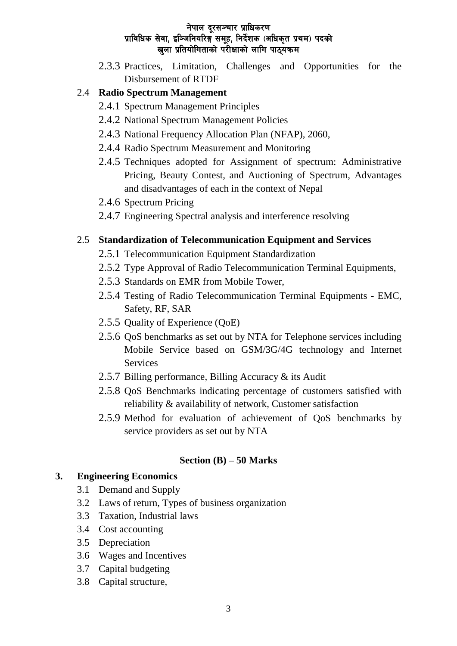#### नेपाल दूरसञ्चार प्राधिकरण प्राविधिक सेवा, इञ्जिनियरिङ्ग समूह, निर्देशक (अधिकृत प्रथम) पदको खुला प्रतियोगिताको परीक्षाको लागि पाठ्यक्रम

2.3.3 Practices, Limitation, Challenges and Opportunities for the Disbursement of RTDF

## 2.4 **Radio Spectrum Management**

- 2.4.1 Spectrum Management Principles
- 2.4.2 National Spectrum Management Policies
- 2.4.3 National Frequency Allocation Plan (NFAP), 2060,
- 2.4.4 Radio Spectrum Measurement and Monitoring
- 2.4.5 Techniques adopted for Assignment of spectrum: Administrative Pricing, Beauty Contest, and Auctioning of Spectrum, Advantages and disadvantages of each in the context of Nepal
- 2.4.6 Spectrum Pricing
- 2.4.7 Engineering Spectral analysis and interference resolving

## 2.5 **Standardization of Telecommunication Equipment and Services**

- 2.5.1 Telecommunication Equipment Standardization
- 2.5.2 Type Approval of Radio Telecommunication Terminal Equipments,
- 2.5.3 Standards on EMR from Mobile Tower,
- 2.5.4 Testing of Radio Telecommunication Terminal Equipments EMC, Safety, RF, SAR
- 2.5.5 Quality of Experience (QoE)
- 2.5.6 QoS benchmarks as set out by NTA for Telephone services including Mobile Service based on GSM/3G/4G technology and Internet Services
- 2.5.7 Billing performance, Billing Accuracy & its Audit
- 2.5.8 QoS Benchmarks indicating percentage of customers satisfied with reliability & availability of network, Customer satisfaction
- 2.5.9 Method for evaluation of achievement of QoS benchmarks by service providers as set out by NTA

#### **Section (B) – 50 Marks**

#### **3. Engineering Economics**

- 3.1 Demand and Supply
- 3.2 Laws of return, Types of business organization
- 3.3 Taxation, Industrial laws
- 3.4 Cost accounting
- 3.5 Depreciation
- 3.6 Wages and Incentives
- 3.7 Capital budgeting
- 3.8 Capital structure,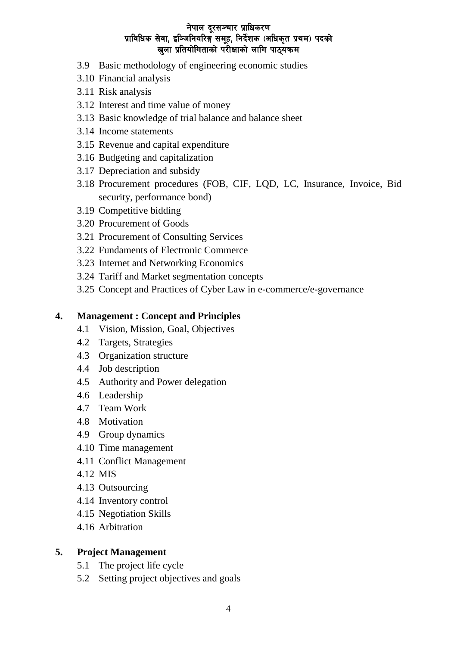## नेपाल दूरसञ्चार प्राधिकरण प्राविधिक सेवा, इञ्जिनियरिङ्ग समूह, निर्देशक (अधिकृत प्रथम) पदको खला प्रतियोगिताको परीक्षाको लागि पाठ्यकम

- 3.9 Basic methodology of engineering economic studies
- 3.10 Financial analysis
- 3.11 Risk analysis
- 3.12 Interest and time value of money
- 3.13 Basic knowledge of trial balance and balance sheet
- 3.14 Income statements
- 3.15 Revenue and capital expenditure
- 3.16 Budgeting and capitalization
- 3.17 Depreciation and subsidy
- 3.18 Procurement procedures (FOB, CIF, LQD, LC, Insurance, Invoice, Bid security, performance bond)
- 3.19 Competitive bidding
- 3.20 Procurement of Goods
- 3.21 Procurement of Consulting Services
- 3.22 Fundaments of Electronic Commerce
- 3.23 Internet and Networking Economics
- 3.24 Tariff and Market segmentation concepts
- 3.25 Concept and Practices of Cyber Law in e-commerce/e-governance

## **4. Management : Concept and Principles**

- 4.1 Vision, Mission, Goal, Objectives
- 4.2 Targets, Strategies
- 4.3 Organization structure
- 4.4 Job description
- 4.5 Authority and Power delegation
- 4.6 Leadership
- 4.7 Team Work
- 4.8 Motivation
- 4.9 Group dynamics
- 4.10 Time management
- 4.11 Conflict Management
- 4.12 MIS
- 4.13 Outsourcing
- 4.14 Inventory control
- 4.15 Negotiation Skills
- 4.16 Arbitration

## **5. Project Management**

- 5.1 The project life cycle
- 5.2 Setting project objectives and goals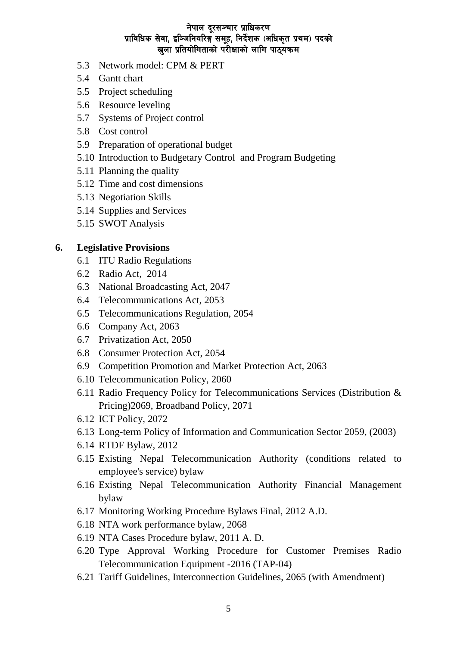#### नेपाल दूरसञ्चार प्राधिकरण प्राविधिक सेवा, इञ्जिनियरिङ्ग समूह, निर्देशक (अधिकृत प्रथम) पदको खुला प्रतियोगिताको परीक्षाको लागि पाठुयकम

- 5.3 Network model: CPM & PERT
- 5.4 Gantt chart
- 5.5 Project scheduling
- 5.6 Resource leveling
- 5.7 Systems of Project control
- 5.8 Cost control
- 5.9 Preparation of operational budget
- 5.10 Introduction to Budgetary Control and Program Budgeting
- 5.11 Planning the quality
- 5.12 Time and cost dimensions
- 5.13 Negotiation Skills
- 5.14 Supplies and Services
- 5.15 SWOT Analysis

#### **6. Legislative Provisions**

- 6.1 ITU Radio Regulations
- 6.2 Radio Act, 2014
- 6.3 National Broadcasting Act, 2047
- 6.4 Telecommunications Act, 2053
- 6.5 Telecommunications Regulation, 2054
- 6.6 Company Act, 2063
- 6.7 Privatization Act, 2050
- 6.8 Consumer Protection Act, 2054
- 6.9 Competition Promotion and Market Protection Act, 2063
- 6.10 Telecommunication Policy, 2060
- 6.11 Radio Frequency Policy for Telecommunications Services (Distribution & Pricing)2069, Broadband Policy, 2071
- 6.12 ICT Policy, 2072
- 6.13 [Long-term Policy of Information and Communication Sector 2059,](http://www.moic.gov.np/upload/documents/Long-term-Policy-of-Information-and-Communication-Sector-2059-eng.pdf) (2003)
- 6.14 RTDF Bylaw, 2012
- 6.15 Existing Nepal Telecommunication Authority (conditions related to employee's service) bylaw
- 6.16 Existing Nepal Telecommunication Authority Financial Management bylaw
- 6.17 Monitoring Working Procedure Bylaws Final, 2012 A.D.
- 6.18 NTA work performance bylaw, 2068
- 6.19 NTA Cases Procedure bylaw, 2011 A. D.
- 6.20 Type Approval Working Procedure for Customer Premises Radio Telecommunication Equipment -2016 (TAP-04)
- 6.21 Tariff Guidelines, Interconnection Guidelines, 2065 (with Amendment)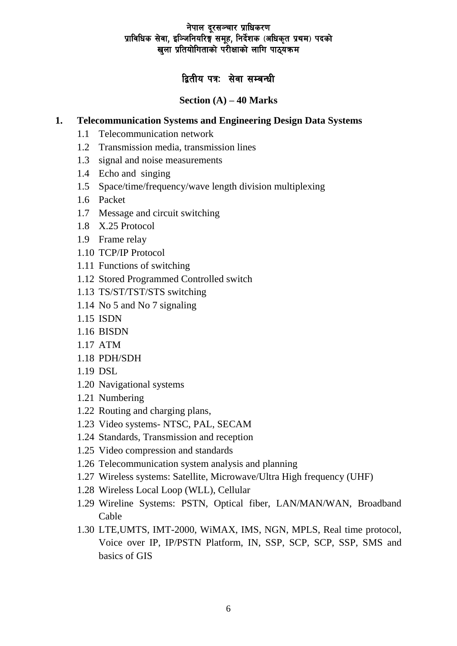## नेपाल दूरसञ्चार प्राधिकरण प्राविधिक सेवा. इञ्जिनियरिङ्गं समह. निर्देशक (अधिकत प्रथम) पदको खुला प्रतियोगिताको परीक्षाको लागि पाठुयकम

# द्वितीय पत्रः सेवा सम्बन्धी

## **Section (A) – 40 Marks**

## **1. Telecommunication Systems and Engineering Design Data Systems**

- 1.1 Telecommunication network
- 1.2 Transmission media, transmission lines
- 1.3 signal and noise measurements
- 1.4 Echo and singing
- 1.5 Space/time/frequency/wave length division multiplexing
- 1.6 Packet
- 1.7 Message and circuit switching
- 1.8 X.25 Protocol
- 1.9 Frame relay
- 1.10 TCP/IP Protocol
- 1.11 Functions of switching
- 1.12 Stored Programmed Controlled switch
- 1.13 TS/ST/TST/STS switching
- 1.14 No 5 and No 7 signaling
- 1.15 ISDN
- 1.16 BISDN
- 1.17 ATM
- 1.18 PDH/SDH
- 1.19 DSL
- 1.20 Navigational systems
- 1.21 Numbering
- 1.22 Routing and charging plans,
- 1.23 Video systems- NTSC, PAL, SECAM
- 1.24 Standards, Transmission and reception
- 1.25 Video compression and standards
- 1.26 Telecommunication system analysis and planning
- 1.27 Wireless systems: Satellite, Microwave/Ultra High frequency (UHF)
- 1.28 Wireless Local Loop (WLL), Cellular
- 1.29 Wireline Systems: PSTN, Optical fiber, LAN/MAN/WAN, Broadband Cable
- 1.30 LTE,UMTS, IMT-2000, WiMAX, IMS, NGN, MPLS, Real time protocol, Voice over IP, IP/PSTN Platform, IN, SSP, SCP, SCP, SSP, SMS and basics of GIS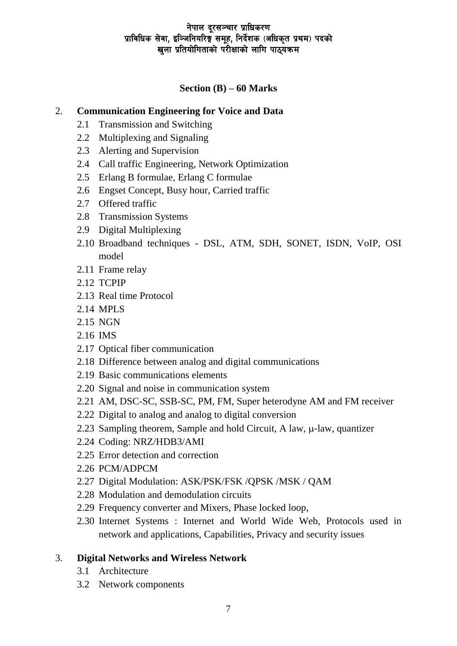## नेपाल दूरसञ्चार प्राधिकरण प्राविधिक सेवा. इञ्जिनियरिङ्गं समह. निर्देशक (अधिकत प्रथम) पदको खुला प्रतियोगिताको परीक्षाको लागि पाठुयकम

# **Section (B) – 60 Marks**

## 2. **Communication Engineering for Voice and Data**

- 2.1 Transmission and Switching
- 2.2 Multiplexing and Signaling
- 2.3 Alerting and Supervision
- 2.4 Call traffic Engineering, Network Optimization
- 2.5 Erlang B formulae, Erlang C formulae
- 2.6 Engset Concept, Busy hour, Carried traffic
- 2.7 Offered traffic
- 2.8 Transmission Systems
- 2.9 Digital Multiplexing
- 2.10 Broadband techniques DSL, ATM, SDH, SONET, ISDN, VoIP, OSI model
- 2.11 Frame relay
- 2.12 TCPIP
- 2.13 Real time Protocol
- 2.14 MPLS
- 2.15 NGN
- 2.16 IMS
- 2.17 Optical fiber communication
- 2.18 Difference between analog and digital communications
- 2.19 Basic communications elements
- 2.20 Signal and noise in communication system
- 2.21 AM, DSC-SC, SSB-SC, PM, FM, Super heterodyne AM and FM receiver
- 2.22 Digital to analog and analog to digital conversion
- 2.23 Sampling theorem, Sample and hold Circuit, A law,  $\mu$ -law, quantizer
- 2.24 Coding: NRZ/HDB3/AMI
- 2.25 Error detection and correction
- 2.26 PCM/ADPCM
- 2.27 Digital Modulation: ASK/PSK/FSK /QPSK /MSK / QAM
- 2.28 Modulation and demodulation circuits
- 2.29 Frequency converter and Mixers, Phase locked loop,
- 2.30 Internet Systems : Internet and World Wide Web, Protocols used in network and applications, Capabilities, Privacy and security issues

# 3. **Digital Networks and Wireless Network**

- 3.1 Architecture
- 3.2 Network components